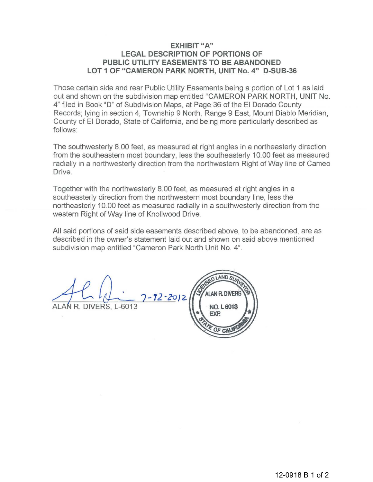## **EXHIBIT "A" LEGAL DESCRIPTION OF PORTIONS OF PUBLIC UTILITY EASEMENTS TO BE ABANDONED LOT 1 OF "CAMERON PARK NORTH, UNIT No.4" D-SUB-36**

Those certain side and rear Public Utility Easements being a portion of Lot 1 as laid out and shown on the subdivision map entitled "CAMERON PARK NORTH, UNIT No. 4" filed in Book "D" of Subdivision Maps, at Page 36 of the El Dorado County Records; lying in section 4, Township 9 North, Range 9 East, Mount Diablo Meridian, County of El Dorado, State of California, and being more particularly described as follows:

The southwesterly 8. 00 feet, as measured at right angles in a northeasterly direction from the southeastern most boundary, less the southeasterly 10.00 feet as measured radially in a northwesterly direction from the northwestern Right of Way line of Cameo Drive.

Together with the northwesterly 8.00 feet, as measured at right angles in a southeasterly direction from the northwestern most boundary line, less the northeasterly 10.00 feet as measured radially in a southwesterly direction from the western Right of Way line of Knollwood Drive.

All said portions of said side easements described above, to be abandoned, are as described in the owner's statement laid out and shown on said above mentioned subdivision map entitled "Cameron Park North Unit No. 4".

]-72·2oJ2.

ALAN R. DIVERS, L-6013